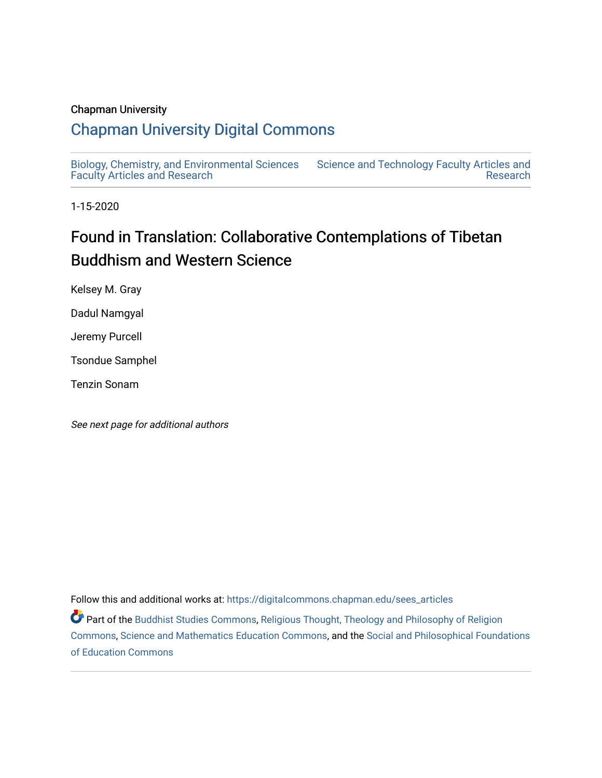# Chapman University

# [Chapman University Digital Commons](https://digitalcommons.chapman.edu/)

[Biology, Chemistry, and Environmental Sciences](https://digitalcommons.chapman.edu/sees_articles) [Faculty Articles and Research](https://digitalcommons.chapman.edu/sees_articles) [Science and Technology Faculty Articles and](https://digitalcommons.chapman.edu/science_articles)  [Research](https://digitalcommons.chapman.edu/science_articles) 

1-15-2020

# Found in Translation: Collaborative Contemplations of Tibetan Buddhism and Western Science

Kelsey M. Gray

Dadul Namgyal

Jeremy Purcell

Tsondue Samphel

Tenzin Sonam

See next page for additional authors

Follow this and additional works at: [https://digitalcommons.chapman.edu/sees\\_articles](https://digitalcommons.chapman.edu/sees_articles?utm_source=digitalcommons.chapman.edu%2Fsees_articles%2F511&utm_medium=PDF&utm_campaign=PDFCoverPages) 

Part of the [Buddhist Studies Commons,](http://network.bepress.com/hgg/discipline/1344?utm_source=digitalcommons.chapman.edu%2Fsees_articles%2F511&utm_medium=PDF&utm_campaign=PDFCoverPages) [Religious Thought, Theology and Philosophy of Religion](http://network.bepress.com/hgg/discipline/544?utm_source=digitalcommons.chapman.edu%2Fsees_articles%2F511&utm_medium=PDF&utm_campaign=PDFCoverPages) [Commons](http://network.bepress.com/hgg/discipline/544?utm_source=digitalcommons.chapman.edu%2Fsees_articles%2F511&utm_medium=PDF&utm_campaign=PDFCoverPages), [Science and Mathematics Education Commons,](http://network.bepress.com/hgg/discipline/800?utm_source=digitalcommons.chapman.edu%2Fsees_articles%2F511&utm_medium=PDF&utm_campaign=PDFCoverPages) and the [Social and Philosophical Foundations](http://network.bepress.com/hgg/discipline/799?utm_source=digitalcommons.chapman.edu%2Fsees_articles%2F511&utm_medium=PDF&utm_campaign=PDFCoverPages) [of Education Commons](http://network.bepress.com/hgg/discipline/799?utm_source=digitalcommons.chapman.edu%2Fsees_articles%2F511&utm_medium=PDF&utm_campaign=PDFCoverPages)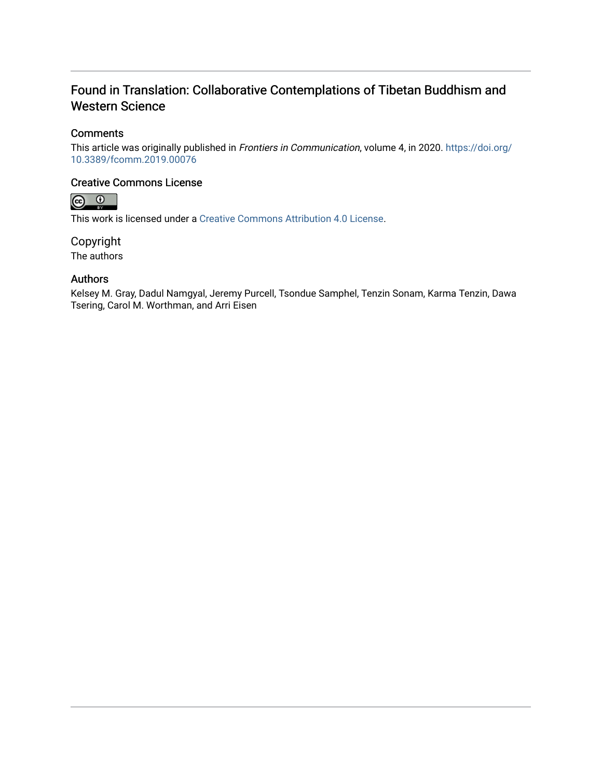# Found in Translation: Collaborative Contemplations of Tibetan Buddhism and Western Science

# **Comments**

This article was originally published in Frontiers in Communication, volume 4, in 2020. [https://doi.org/](https://doi.org/10.3389/fcomm.2019.00076) [10.3389/fcomm.2019.00076](https://doi.org/10.3389/fcomm.2019.00076) 

# Creative Commons License



This work is licensed under a [Creative Commons Attribution 4.0 License](https://creativecommons.org/licenses/by/4.0/).

Copyright The authors

## Authors

Kelsey M. Gray, Dadul Namgyal, Jeremy Purcell, Tsondue Samphel, Tenzin Sonam, Karma Tenzin, Dawa Tsering, Carol M. Worthman, and Arri Eisen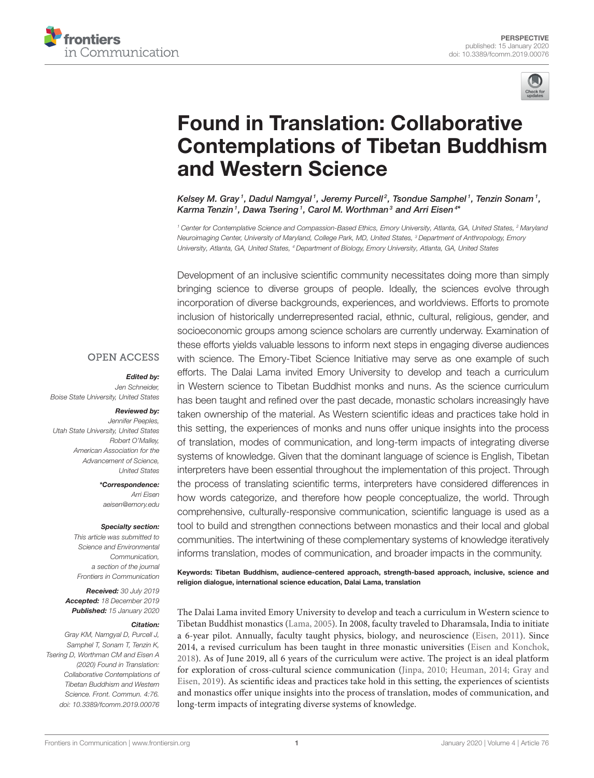



# Found in Translation: Collaborative [Contemplations of Tibetan Buddhism](https://www.frontiersin.org/articles/10.3389/fcomm.2019.00076/full) and Western Science

[Kelsey M. Gray](http://loop.frontiersin.org/people/679086/overview)1, Dadul Namgyal1, [Jeremy Purcell](http://loop.frontiersin.org/people/29857/overview)2, Tsondue Samphel1, Tenzin Sonam1, Karma Tenzin<sup>1</sup>, Dawa Tsering<sup>1</sup>, [Carol M. Worthman](http://loop.frontiersin.org/people/9454/overview)<sup>3</sup> and [Arri Eisen](http://loop.frontiersin.org/people/860678/overview)<sup>4</sup>\*

<sup>1</sup> Center for Contemplative Science and Compassion-Based Ethics, Emory University, Atlanta, GA, United States, <sup>2</sup> Maryland Neuroimaging Center, University of Maryland, College Park, MD, United States, <sup>3</sup> Department of Anthropology, Emory University, Atlanta, GA, United States, <sup>4</sup> Department of Biology, Emory University, Atlanta, GA, United States

Development of an inclusive scientific community necessitates doing more than simply bringing science to diverse groups of people. Ideally, the sciences evolve through incorporation of diverse backgrounds, experiences, and worldviews. Efforts to promote inclusion of historically underrepresented racial, ethnic, cultural, religious, gender, and socioeconomic groups among science scholars are currently underway. Examination of these efforts yields valuable lessons to inform next steps in engaging diverse audiences with science. The Emory-Tibet Science Initiative may serve as one example of such efforts. The Dalai Lama invited Emory University to develop and teach a curriculum in Western science to Tibetan Buddhist monks and nuns. As the science curriculum has been taught and refined over the past decade, monastic scholars increasingly have taken ownership of the material. As Western scientific ideas and practices take hold in this setting, the experiences of monks and nuns offer unique insights into the process of translation, modes of communication, and long-term impacts of integrating diverse systems of knowledge. Given that the dominant language of science is English, Tibetan interpreters have been essential throughout the implementation of this project. Through the process of translating scientific terms, interpreters have considered differences in how words categorize, and therefore how people conceptualize, the world. Through comprehensive, culturally-responsive communication, scientific language is used as a tool to build and strengthen connections between monastics and their local and global communities. The intertwining of these complementary systems of knowledge iteratively informs translation, modes of communication, and broader impacts in the community.

Keywords: Tibetan Buddhism, audience-centered approach, strength-based approach, inclusive, science and religion dialogue, international science education, Dalai Lama, translation

The Dalai Lama invited Emory University to develop and teach a curriculum in Western science to Tibetan Buddhist monastics [\(Lama, 2005\)](#page-7-0). In 2008, faculty traveled to Dharamsala, India to initiate a 6-year pilot. Annually, faculty taught physics, biology, and neuroscience [\(Eisen, 2011\)](#page-7-1). Since 2014, a revised curriculum has been taught in three monastic universities [\(Eisen and Konchok,](#page-7-2) [2018\)](#page-7-2). As of June 2019, all 6 years of the curriculum were active. The project is an ideal platform for exploration of cross-cultural science communication [\(Jinpa, 2010;](#page-7-3) [Heuman, 2014;](#page-7-4) Gray and Eisen, [2019\)](#page-7-5). As scientific ideas and practices take hold in this setting, the experiences of scientists and monastics offer unique insights into the process of translation, modes of communication, and long-term impacts of integrating diverse systems of knowledge.

## **OPEN ACCESS**

### Edited by:

Jen Schneider, Boise State University, United States

#### Reviewed by: Jennifer Peeples,

Utah State University, United States Robert O'Malley, American Association for the Advancement of Science, United States

> \*Correspondence: Arri Eisen [aeisen@emory.edu](mailto:aeisen@emory.edu)

### Specialty section:

This article was submitted to Science and Environmental Communication, a section of the journal Frontiers in Communication

Received: 30 July 2019 Accepted: 18 December 2019 Published: 15 January 2020

#### Citation:

Gray KM, Namgyal D, Purcell J, Samphel T, Sonam T, Tenzin K, Tsering D, Worthman CM and Eisen A (2020) Found in Translation: Collaborative Contemplations of Tibetan Buddhism and Western Science. Front. Commun. 4:76. doi: [10.3389/fcomm.2019.00076](https://doi.org/10.3389/fcomm.2019.00076)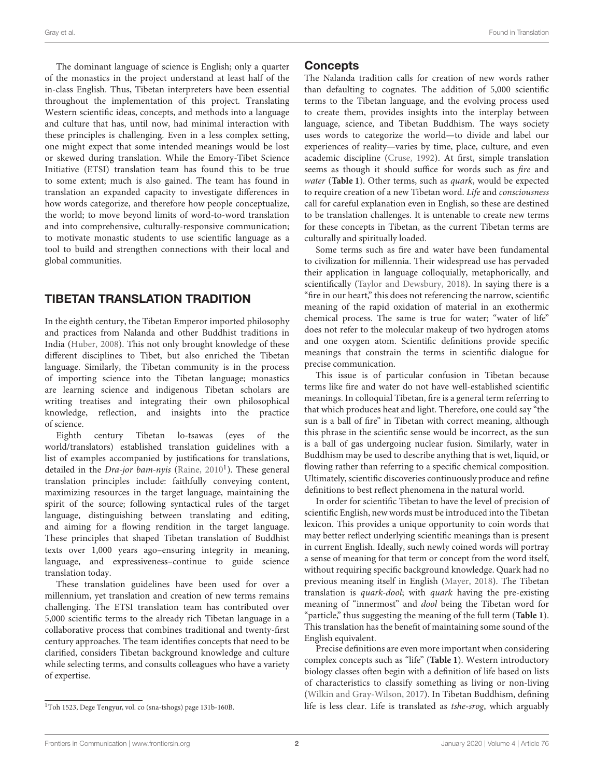The dominant language of science is English; only a quarter of the monastics in the project understand at least half of the in-class English. Thus, Tibetan interpreters have been essential throughout the implementation of this project. Translating Western scientific ideas, concepts, and methods into a language and culture that has, until now, had minimal interaction with these principles is challenging. Even in a less complex setting, one might expect that some intended meanings would be lost or skewed during translation. While the Emory-Tibet Science Initiative (ETSI) translation team has found this to be true to some extent; much is also gained. The team has found in translation an expanded capacity to investigate differences in how words categorize, and therefore how people conceptualize, the world; to move beyond limits of word-to-word translation and into comprehensive, culturally-responsive communication; to motivate monastic students to use scientific language as a tool to build and strengthen connections with their local and global communities.

# TIBETAN TRANSLATION TRADITION

In the eighth century, the Tibetan Emperor imported philosophy and practices from Nalanda and other Buddhist traditions in India [\(Huber, 2008\)](#page-7-6). This not only brought knowledge of these different disciplines to Tibet, but also enriched the Tibetan language. Similarly, the Tibetan community is in the process of importing science into the Tibetan language; monastics are learning science and indigenous Tibetan scholars are writing treatises and integrating their own philosophical knowledge, reflection, and insights into the practice of science.

Eighth century Tibetan lo-tsawas (eyes of the world/translators) established translation guidelines with a list of examples accompanied by justifications for translations, detailed in the Dra-jor bam-nyis [\(Raine, 2010](#page-7-7)<sup>[1](#page-3-0)</sup>). These general translation principles include: faithfully conveying content, maximizing resources in the target language, maintaining the spirit of the source; following syntactical rules of the target language, distinguishing between translating and editing, and aiming for a flowing rendition in the target language. These principles that shaped Tibetan translation of Buddhist texts over 1,000 years ago–ensuring integrity in meaning, language, and expressiveness–continue to guide science translation today.

These translation guidelines have been used for over a millennium, yet translation and creation of new terms remains challenging. The ETSI translation team has contributed over 5,000 scientific terms to the already rich Tibetan language in a collaborative process that combines traditional and twenty-first century approaches. The team identifies concepts that need to be clarified, considers Tibetan background knowledge and culture while selecting terms, and consults colleagues who have a variety of expertise.

The Nalanda tradition calls for creation of new words rather than defaulting to cognates. The addition of 5,000 scientific terms to the Tibetan language, and the evolving process used to create them, provides insights into the interplay between language, science, and Tibetan Buddhism. The ways society uses words to categorize the world—to divide and label our experiences of reality—varies by time, place, culture, and even academic discipline [\(Cruse, 1992\)](#page-7-8). At first, simple translation seems as though it should suffice for words such as fire and water (**[Table 1](#page-4-0)**). Other terms, such as quark, would be expected to require creation of a new Tibetan word. Life and consciousness call for careful explanation even in English, so these are destined to be translation challenges. It is untenable to create new terms for these concepts in Tibetan, as the current Tibetan terms are culturally and spiritually loaded.

Some terms such as fire and water have been fundamental to civilization for millennia. Their widespread use has pervaded their application in language colloquially, metaphorically, and scientifically [\(Taylor and Dewsbury, 2018\)](#page-8-0). In saying there is a "fire in our heart," this does not referencing the narrow, scientific meaning of the rapid oxidation of material in an exothermic chemical process. The same is true for water; "water of life" does not refer to the molecular makeup of two hydrogen atoms and one oxygen atom. Scientific definitions provide specific meanings that constrain the terms in scientific dialogue for precise communication.

This issue is of particular confusion in Tibetan because terms like fire and water do not have well-established scientific meanings. In colloquial Tibetan, fire is a general term referring to that which produces heat and light. Therefore, one could say "the sun is a ball of fire" in Tibetan with correct meaning, although this phrase in the scientific sense would be incorrect, as the sun is a ball of gas undergoing nuclear fusion. Similarly, water in Buddhism may be used to describe anything that is wet, liquid, or flowing rather than referring to a specific chemical composition. Ultimately, scientific discoveries continuously produce and refine definitions to best reflect phenomena in the natural world.

In order for scientific Tibetan to have the level of precision of scientific English, new words must be introduced into the Tibetan lexicon. This provides a unique opportunity to coin words that may better reflect underlying scientific meanings than is present in current English. Ideally, such newly coined words will portray a sense of meaning for that term or concept from the word itself, without requiring specific background knowledge. Quark had no previous meaning itself in English [\(Mayer, 2018\)](#page-7-9). The Tibetan translation is quark-dool; with quark having the pre-existing meaning of "innermost" and dool being the Tibetan word for "particle," thus suggesting the meaning of the full term (**[Table 1](#page-4-0)**). This translation has the benefit of maintaining some sound of the English equivalent.

Precise definitions are even more important when considering complex concepts such as "life" (**[Table 1](#page-4-0)**). Western introductory biology classes often begin with a definition of life based on lists of characteristics to classify something as living or non-living [\(Wilkin and Gray-Wilson, 2017\)](#page-8-1). In Tibetan Buddhism, defining life is less clear. Life is translated as tshe-srog, which arguably

**Concepts** 

<span id="page-3-0"></span><sup>1</sup>Toh 1523, Dege Tengyur, vol. co (sna-tshogs) page 131b-160B.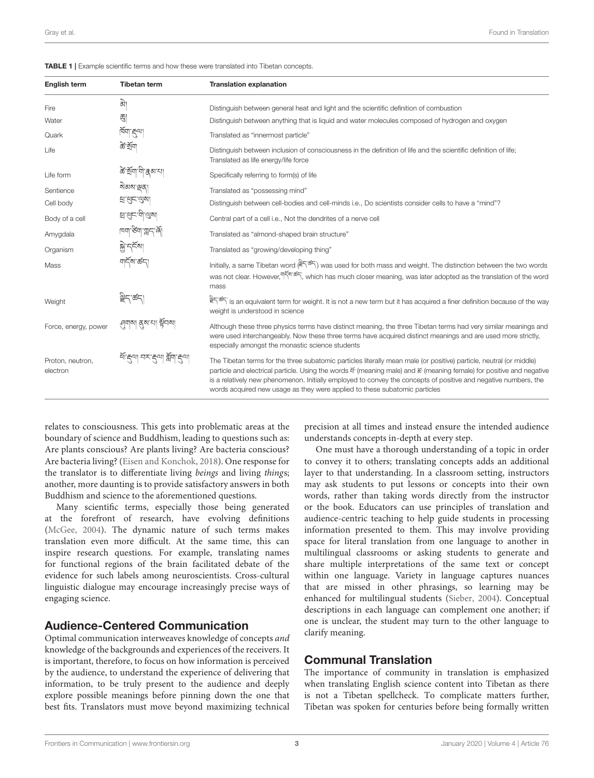<span id="page-4-0"></span>TABLE 1 | Example scientific terms and how these were translated into Tibetan concepts.

| <b>English term</b>          | <b>Tibetan term</b>                  | <b>Translation explanation</b>                                                                                                                                                                                                                                                                                                                                                                                                                                  |
|------------------------------|--------------------------------------|-----------------------------------------------------------------------------------------------------------------------------------------------------------------------------------------------------------------------------------------------------------------------------------------------------------------------------------------------------------------------------------------------------------------------------------------------------------------|
| Fire                         | ब्रा                                 | Distinguish between general heat and light and the scientific definition of combustion                                                                                                                                                                                                                                                                                                                                                                          |
| Water                        | ঙ্খ                                  | Distinguish between anything that is liquid and water molecules composed of hydrogen and oxygen                                                                                                                                                                                                                                                                                                                                                                 |
| Quark                        | पूर्वाज्या                           | Translated as "innermost particle"                                                                                                                                                                                                                                                                                                                                                                                                                              |
| Life                         | के ब्रॅग                             | Distinguish between inclusion of consciousness in the definition of life and the scientific definition of life;<br>Translated as life energy/life force                                                                                                                                                                                                                                                                                                         |
| Life form                    | ৰ্ক্ত ৰ্ষ্ণশালী স্ক্ৰমাণ             | Specifically referring to form(s) of life                                                                                                                                                                                                                                                                                                                                                                                                                       |
| Sentience                    | ন্মন্সাম্প্ৰকা                       | Translated as "possessing mind"                                                                                                                                                                                                                                                                                                                                                                                                                                 |
| Cell body                    | 四四月四十                                | Distinguish between cell-bodies and cell-minds i.e., Do scientists consider cells to have a "mind"?                                                                                                                                                                                                                                                                                                                                                             |
| Body of a cell               | सासुमानी ख़बा                        | Central part of a cell i.e., Not the dendrites of a nerve cell                                                                                                                                                                                                                                                                                                                                                                                                  |
| Amygdala                     | एषा ख्या ब्रह्न ह्या                 | Translated as "almond-shaped brain structure"                                                                                                                                                                                                                                                                                                                                                                                                                   |
| Organism                     | ক্লু'নৰ্মৰা                          | Translated as "growing/developing thing"                                                                                                                                                                                                                                                                                                                                                                                                                        |
| Mass                         | নাৰ্ন্ন্ম ৰুখ                        | Initially, a same Tibetan word ( $\hat{\vec{e}}^{\vec{K}\vec{\eta}}$ ) was used for both mass and weight. The distinction between the two words<br>was not clear. However, <sup>qik</sup> N' <sup>ak</sup> , which has much closer meaning, was later adopted as the translation of the word<br>mass                                                                                                                                                            |
| Weight                       | ॣऀ <sup>न्</sup> क्ट्री              | हैन की is an equivalent term for weight. It is not a new term but it has acquired a finer definition because of the way<br>weight is understood in science                                                                                                                                                                                                                                                                                                      |
| Force, energy, power         | ্ন্মশানা ৰ্মুন্ম স্ন্ৰীননা           | Although these three physics terms have distinct meaning, the three Tibetan terms had very similar meanings and<br>were used interchangeably. Now these three terms have acquired distinct meanings and are used more strictly,<br>especially amongst the monastic science students                                                                                                                                                                             |
| Proton, neutron,<br>electron | ৰ্শ हुत्या पर हुत्या क्षेत्रा हुत्या | The Tibetan terms for the three subatomic particles literally mean male (or positive) particle, neutral (or middle)<br>particle and electrical particle. Using the words of (meaning male) and $\tilde{\mathbf{x}}$ (meaning female) for positive and negative<br>is a relatively new phenomenon. Initially employed to convey the concepts of positive and negative numbers, the<br>words acquired new usage as they were applied to these subatomic particles |

relates to consciousness. This gets into problematic areas at the boundary of science and Buddhism, leading to questions such as: Are plants conscious? Are plants living? Are bacteria conscious? Are bacteria living? [\(Eisen and Konchok, 2018\)](#page-7-2). One response for the translator is to differentiate living beings and living things; another, more daunting is to provide satisfactory answers in both Buddhism and science to the aforementioned questions.

Many scientific terms, especially those being generated at the forefront of research, have evolving definitions [\(McGee, 2004\)](#page-7-10). The dynamic nature of such terms makes translation even more difficult. At the same time, this can inspire research questions. For example, translating names for functional regions of the brain facilitated debate of the evidence for such labels among neuroscientists. Cross-cultural linguistic dialogue may encourage increasingly precise ways of engaging science.

# Audience-Centered Communication

Optimal communication interweaves knowledge of concepts and knowledge of the backgrounds and experiences of the receivers. It is important, therefore, to focus on how information is perceived by the audience, to understand the experience of delivering that information, to be truly present to the audience and deeply explore possible meanings before pinning down the one that best fits. Translators must move beyond maximizing technical

precision at all times and instead ensure the intended audience understands concepts in-depth at every step.

One must have a thorough understanding of a topic in order to convey it to others; translating concepts adds an additional layer to that understanding. In a classroom setting, instructors may ask students to put lessons or concepts into their own words, rather than taking words directly from the instructor or the book. Educators can use principles of translation and audience-centric teaching to help guide students in processing information presented to them. This may involve providing space for literal translation from one language to another in multilingual classrooms or asking students to generate and share multiple interpretations of the same text or concept within one language. Variety in language captures nuances that are missed in other phrasings, so learning may be enhanced for multilingual students [\(Sieber, 2004\)](#page-7-11). Conceptual descriptions in each language can complement one another; if one is unclear, the student may turn to the other language to clarify meaning.

# Communal Translation

The importance of community in translation is emphasized when translating English science content into Tibetan as there is not a Tibetan spellcheck. To complicate matters further, Tibetan was spoken for centuries before being formally written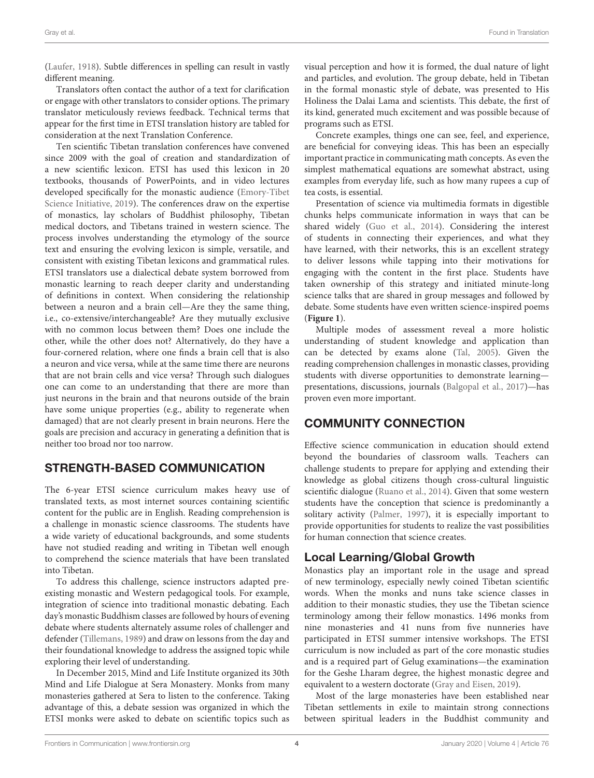[\(Laufer, 1918\)](#page-7-12). Subtle differences in spelling can result in vastly different meaning.

Translators often contact the author of a text for clarification or engage with other translators to consider options. The primary translator meticulously reviews feedback. Technical terms that appear for the first time in ETSI translation history are tabled for consideration at the next Translation Conference.

Ten scientific Tibetan translation conferences have convened since 2009 with the goal of creation and standardization of a new scientific lexicon. ETSI has used this lexicon in 20 textbooks, thousands of PowerPoints, and in video lectures developed specifically for the monastic audience (Emory-Tibet Science Initiative, [2019\)](#page-7-13). The conferences draw on the expertise of monastics, lay scholars of Buddhist philosophy, Tibetan medical doctors, and Tibetans trained in western science. The process involves understanding the etymology of the source text and ensuring the evolving lexicon is simple, versatile, and consistent with existing Tibetan lexicons and grammatical rules. ETSI translators use a dialectical debate system borrowed from monastic learning to reach deeper clarity and understanding of definitions in context. When considering the relationship between a neuron and a brain cell—Are they the same thing, i.e., co-extensive/interchangeable? Are they mutually exclusive with no common locus between them? Does one include the other, while the other does not? Alternatively, do they have a four-cornered relation, where one finds a brain cell that is also a neuron and vice versa, while at the same time there are neurons that are not brain cells and vice versa? Through such dialogues one can come to an understanding that there are more than just neurons in the brain and that neurons outside of the brain have some unique properties (e.g., ability to regenerate when damaged) that are not clearly present in brain neurons. Here the goals are precision and accuracy in generating a definition that is neither too broad nor too narrow.

# STRENGTH-BASED COMMUNICATION

The 6-year ETSI science curriculum makes heavy use of translated texts, as most internet sources containing scientific content for the public are in English. Reading comprehension is a challenge in monastic science classrooms. The students have a wide variety of educational backgrounds, and some students have not studied reading and writing in Tibetan well enough to comprehend the science materials that have been translated into Tibetan.

To address this challenge, science instructors adapted preexisting monastic and Western pedagogical tools. For example, integration of science into traditional monastic debating. Each day's monastic Buddhism classes are followed by hours of evening debate where students alternately assume roles of challenger and defender [\(Tillemans, 1989\)](#page-8-2) and draw on lessons from the day and their foundational knowledge to address the assigned topic while exploring their level of understanding.

In December 2015, Mind and Life Institute organized its 30th Mind and Life Dialogue at Sera Monastery. Monks from many monasteries gathered at Sera to listen to the conference. Taking advantage of this, a debate session was organized in which the ETSI monks were asked to debate on scientific topics such as visual perception and how it is formed, the dual nature of light and particles, and evolution. The group debate, held in Tibetan in the formal monastic style of debate, was presented to His Holiness the Dalai Lama and scientists. This debate, the first of its kind, generated much excitement and was possible because of programs such as ETSI.

Concrete examples, things one can see, feel, and experience, are beneficial for conveying ideas. This has been an especially important practice in communicating math concepts. As even the simplest mathematical equations are somewhat abstract, using examples from everyday life, such as how many rupees a cup of tea costs, is essential.

Presentation of science via multimedia formats in digestible chunks helps communicate information in ways that can be shared widely [\(Guo et al., 2014\)](#page-7-14). Considering the interest of students in connecting their experiences, and what they have learned, with their networks, this is an excellent strategy to deliver lessons while tapping into their motivations for engaging with the content in the first place. Students have taken ownership of this strategy and initiated minute-long science talks that are shared in group messages and followed by debate. Some students have even written science-inspired poems (**[Figure 1](#page-6-0)**).

Multiple modes of assessment reveal a more holistic understanding of student knowledge and application than can be detected by exams alone [\(Tal, 2005\)](#page-7-15). Given the reading comprehension challenges in monastic classes, providing students with diverse opportunities to demonstrate learning presentations, discussions, journals [\(Balgopal et al., 2017\)](#page-7-16)—has proven even more important.

# COMMUNITY CONNECTION

Effective science communication in education should extend beyond the boundaries of classroom walls. Teachers can challenge students to prepare for applying and extending their knowledge as global citizens though cross-cultural linguistic scientific dialogue [\(Ruano et al., 2014\)](#page-7-17). Given that some western students have the conception that science is predominantly a solitary activity [\(Palmer, 1997\)](#page-7-18), it is especially important to provide opportunities for students to realize the vast possibilities for human connection that science creates.

# Local Learning/Global Growth

Monastics play an important role in the usage and spread of new terminology, especially newly coined Tibetan scientific words. When the monks and nuns take science classes in addition to their monastic studies, they use the Tibetan science terminology among their fellow monastics. 1496 monks from nine monasteries and 41 nuns from five nunneries have participated in ETSI summer intensive workshops. The ETSI curriculum is now included as part of the core monastic studies and is a required part of Gelug examinations—the examination for the Geshe Lharam degree, the highest monastic degree and equivalent to a western doctorate [\(Gray and Eisen, 2019\)](#page-7-5).

Most of the large monasteries have been established near Tibetan settlements in exile to maintain strong connections between spiritual leaders in the Buddhist community and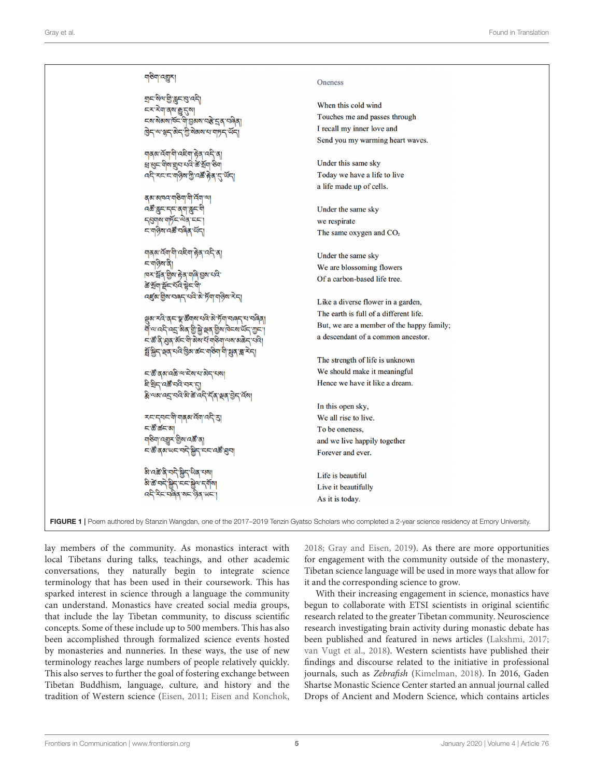| यद्याप्रसूर                                                              | Oneness                                   |
|--------------------------------------------------------------------------|-------------------------------------------|
| <b>בן ה</b> ישוב הוא הוא מות                                             |                                           |
| ८८ देवावरण कुरु वा                                                       | When this cold wind                       |
| ८८ से अर्था में दे में चुक्रया नहे दुव पविवा                             | Touches me and passes through             |
| ष्ठिम् भाञ्जम् अम् गुरुष्यवामाणम् अम्।                                   | I recall my inner love and                |
|                                                                          | Send you my warming heart waves.          |
| <u> यात्रह्य दिवा यो उड्डिया सेव उत्तर</u>                               |                                           |
| स.संट.चुंब चेटा राष्ट्र, पू                                              | Under this same sky                       |
| <i>੦</i> <ਿਨ੍⊂′⊂′ਧਾਨੇਆਂ ਗੇੁ' <i>੦</i> ੴਲੇਕ                               | Today we have a life to live              |
|                                                                          | a life made up of cells.                  |
|                                                                          |                                           |
| ෬ౙౕॱਙౢॸॱॸॸॱॺॺॱॾॸ                                                         | Under the same sky                        |
| בפטומ טובר מא יבב                                                        | we respirate                              |
| ⊏'यातेष'वर्के'चंबेत्र'थॅम                                                | The same oxygen and $CO2$                 |
|                                                                          |                                           |
| শব্দ মন্দি নাই বাই বাই বা                                                | Under the same sky                        |
|                                                                          | We are blossoming flowers                 |
| पित्र सिव ग्रील हेव पावि छल पाउ                                          | Of a carbon-based life tree.              |
| ෬෪෨ඁ෯ඁ෨ඁ෬ඁ෧෪෬෪෮෪෫෮෦෬෪෮෧                                                  |                                           |
|                                                                          | Like a diverse flower in a garden,        |
| <u> क्षुबार् दे तुर् स्था र्हें</u> वाला पाते से में सामाना कर पात्र के  | The earth is full of a different life.    |
| ब्राज्ञा पहुं , पटे , भुर्थ , सि. मैं, क्षेर्य , सिल्य, प्रान्य, प्रोट्य | But, we are a member of the happy family; |
| ८ क्षे दे ह्वद अँद यो बेब राया विया या बके दायदे।                        | a descendant of a common ancestor.        |
| ह्य भूम स्व पत्र विवाकम पठ्या गे स्व स्व मे                              |                                           |
|                                                                          | The strength of life is unknown           |
| <b>สาชีวสุสาวสิ</b> ดขาสิงหาสาลิสายส                                     | We should make it meaningful              |
| हिन्द्रीम पर्वे पर्यात है।                                               | Hence we have it like a dream.            |
| क्षे अबाद्द चंद्रे बे के दर्द देव स्व डेट देवा                           |                                           |
|                                                                          | In this open sky,                         |
| خدخات بالعام والمناسخة خديجة                                             | We all rise to live.                      |
| டுக்கோலு                                                                 | To be oneness.                            |
| <u> শতিশ বেহ্যু স্মী</u> ন বেৰ্ক্ট' বা                                   | and we live happily together              |
| ביא משכיחל אך בכיתא אקס                                                  | Forever and ever.                         |
|                                                                          |                                           |
|                                                                          | Life is beautiful                         |
|                                                                          | Live it beautifully                       |
|                                                                          | As it is today.                           |
|                                                                          |                                           |

<span id="page-6-0"></span>FIGURE 1 | Poem authored by Stanzin Wangdan, one of the 2017-2019 Tenzin Gyatso Scholars who completed a 2-year science residency at Emory University.

lay members of the community. As monastics interact with local Tibetans during talks, teachings, and other academic conversations, they naturally begin to integrate science terminology that has been used in their coursework. This has sparked interest in science through a language the community can understand. Monastics have created social media groups, that include the lay Tibetan community, to discuss scientific concepts. Some of these include up to 500 members. This has also been accomplished through formalized science events hosted by monasteries and nunneries. In these ways, the use of new terminology reaches large numbers of people relatively quickly. This also serves to further the goal of fostering exchange between Tibetan Buddhism, language, culture, and history and the tradition of Western science [\(Eisen, 2011;](#page-7-1) [Eisen and Konchok,](#page-7-2) [2018;](#page-7-2) [Gray and Eisen, 2019\)](#page-7-5). As there are more opportunities for engagement with the community outside of the monastery, Tibetan science language will be used in more ways that allow for it and the corresponding science to grow.

With their increasing engagement in science, monastics have begun to collaborate with ETSI scientists in original scientific research related to the greater Tibetan community. Neuroscience research investigating brain activity during monastic debate has been published and featured in news articles [\(Lakshmi, 2017;](#page-7-19) [van Vugt et al., 2018\)](#page-8-3). Western scientists have published their findings and discourse related to the initiative in professional journals, such as Zebrafish [\(Kimelman, 2018\)](#page-7-20). In 2016, Gaden Shartse Monastic Science Center started an annual journal called Drops of Ancient and Modern Science, which contains articles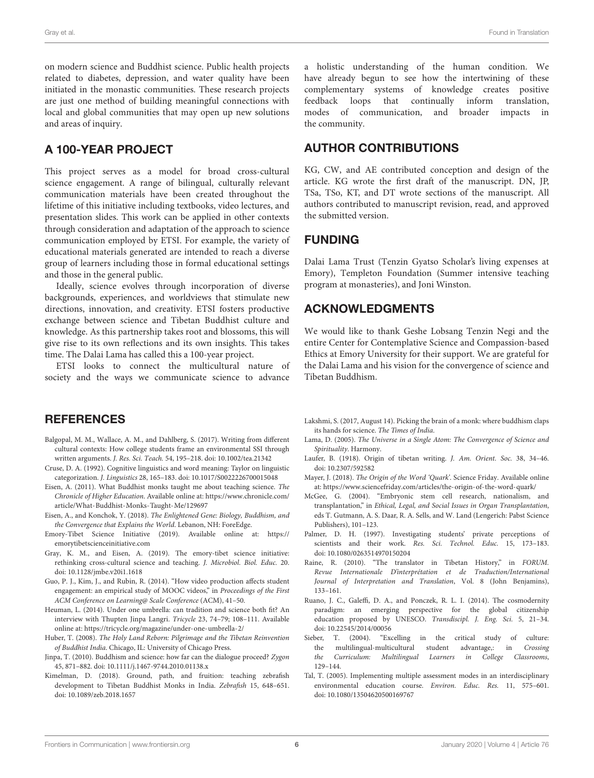on modern science and Buddhist science. Public health projects related to diabetes, depression, and water quality have been initiated in the monastic communities. These research projects are just one method of building meaningful connections with local and global communities that may open up new solutions and areas of inquiry.

# A 100-YEAR PROJECT

This project serves as a model for broad cross-cultural science engagement. A range of bilingual, culturally relevant communication materials have been created throughout the lifetime of this initiative including textbooks, video lectures, and presentation slides. This work can be applied in other contexts through consideration and adaptation of the approach to science communication employed by ETSI. For example, the variety of educational materials generated are intended to reach a diverse group of learners including those in formal educational settings and those in the general public.

Ideally, science evolves through incorporation of diverse backgrounds, experiences, and worldviews that stimulate new directions, innovation, and creativity. ETSI fosters productive exchange between science and Tibetan Buddhist culture and knowledge. As this partnership takes root and blossoms, this will give rise to its own reflections and its own insights. This takes time. The Dalai Lama has called this a 100-year project.

ETSI looks to connect the multicultural nature of society and the ways we communicate science to advance

# **REFERENCES**

- <span id="page-7-16"></span>Balgopal, M. M., Wallace, A. M., and Dahlberg, S. (2017). Writing from different cultural contexts: How college students frame an environmental SSI through written arguments. J. Res. Sci. Teach. 54, 195–218. doi: [10.1002/tea.21342](https://doi.org/10.1002/tea.21342)
- <span id="page-7-8"></span>Cruse, D. A. (1992). Cognitive linguistics and word meaning: Taylor on linguistic categorization. J. Linguistics 28, 165–183. doi: [10.1017/S0022226700015048](https://doi.org/10.1017/S0022226700015048)
- <span id="page-7-1"></span>Eisen, A. (2011). What Buddhist monks taught me about teaching science. The Chronicle of Higher Education. Available online at: [https://www.chronicle.com/](https://www.chronicle.com/article/What-Buddhist-Monks-Taught-Me/129697) [article/What-Buddhist-Monks-Taught-Me/129697](https://www.chronicle.com/article/What-Buddhist-Monks-Taught-Me/129697)
- <span id="page-7-2"></span>Eisen, A., and Konchok, Y. (2018). The Enlightened Gene: Biology, Buddhism, and the Convergence that Explains the World. Lebanon, NH: ForeEdge.
- <span id="page-7-13"></span>Emory-Tibet Science Initiative (2019). Available online at: [https://](https://emorytibetscienceinitiative.com) [emorytibetscienceinitiative.com](https://emorytibetscienceinitiative.com)
- <span id="page-7-5"></span>Gray, K. M., and Eisen, A. (2019). The emory-tibet science initiative: rethinking cross-cultural science and teaching. J. Microbiol. Biol. Educ. 20. doi: [10.1128/jmbe.v20i1.1618](https://doi.org/10.1128/jmbe.v20i1.1618)
- <span id="page-7-14"></span>Guo, P. J., Kim, J., and Rubin, R. (2014). "How video production affects student engagement: an empirical study of MOOC videos," in Proceedings of the First ACM Conference on Learning@ Scale Conference (ACM), 41–50.
- <span id="page-7-4"></span>Heuman, L. (2014). Under one umbrella: can tradition and science both fit? An interview with Thupten Jinpa Langri. Tricycle 23, 74–79; 108–111. Available online at:<https://tricycle.org/magazine/under-one-umbrella-2/>
- <span id="page-7-6"></span>Huber, T. (2008). The Holy Land Reborn: Pilgrimage and the Tibetan Reinvention of Buddhist India. Chicago, IL: University of Chicago Press.
- <span id="page-7-3"></span>Jinpa, T. (2010). Buddhism and science: how far can the dialogue proceed? Zygon 45, 871–882. doi: [10.1111/j.1467-9744.2010.01138.x](https://doi.org/10.1111/j.1467-9744.2010.01138.x)
- <span id="page-7-20"></span>Kimelman, D. (2018). Ground, path, and fruition: teaching zebrafish development to Tibetan Buddhist Monks in India. Zebrafish 15, 648–651. doi: [10.1089/zeb.2018.1657](https://doi.org/10.1089/zeb.2018.1657)

a holistic understanding of the human condition. We have already begun to see how the intertwining of these complementary systems of knowledge creates positive feedback loops that continually inform translation, modes of communication, and broader impacts in the community.

# AUTHOR CONTRIBUTIONS

KG, CW, and AE contributed conception and design of the article. KG wrote the first draft of the manuscript. DN, JP, TSa, TSo, KT, and DT wrote sections of the manuscript. All authors contributed to manuscript revision, read, and approved the submitted version.

## FUNDING

Dalai Lama Trust (Tenzin Gyatso Scholar's living expenses at Emory), Templeton Foundation (Summer intensive teaching program at monasteries), and Joni Winston.

# ACKNOWLEDGMENTS

We would like to thank Geshe Lobsang Tenzin Negi and the entire Center for Contemplative Science and Compassion-based Ethics at Emory University for their support. We are grateful for the Dalai Lama and his vision for the convergence of science and Tibetan Buddhism.

- <span id="page-7-19"></span>Lakshmi, S. (2017, August 14). Picking the brain of a monk: where buddhism claps its hands for science. The Times of India.
- <span id="page-7-0"></span>Lama, D. (2005). The Universe in a Single Atom: The Convergence of Science and Spirituality. Harmony.
- <span id="page-7-12"></span>Laufer, B. (1918). Origin of tibetan writing. J. Am. Orient. Soc. 38, 34–46. doi: [10.2307/592582](https://doi.org/10.2307/592582)
- <span id="page-7-9"></span>Mayer, J. (2018). The Origin of the Word 'Quark'. Science Friday. Available online at:<https://www.sciencefriday.com/articles/the-origin-of-the-word-quark/>
- <span id="page-7-10"></span>McGee, G. (2004). "Embryonic stem cell research, nationalism, and transplantation," in Ethical, Legal, and Social Issues in Organ Transplantation, eds T. Gutmann, A. S. Daar, R. A. Sells, and W. Land (Lengerich: Pabst Science Publishers), 101–123.
- <span id="page-7-18"></span>Palmer, D. H. (1997). Investigating students' private perceptions of scientists and their work. Res. Sci. Technol. Educ. 15, 173–183. doi: [10.1080/0263514970150204](https://doi.org/10.1080/0263514970150204)
- <span id="page-7-7"></span>Raine, R. (2010). "The translator in Tibetan History," in FORUM. Revue Internationale D'interprétation et de Traduction/International Journal of Interpretation and Translation, Vol. 8 (John Benjamins), 133–161.
- <span id="page-7-17"></span>Ruano, J. C., Galeffi, D. A., and Ponczek, R. L. I. (2014). The cosmodernity paradigm: an emerging perspective for the global citizenship education proposed by UNESCO. Transdiscipl. J. Eng. Sci. 5, 21–34. doi: [10.22545/2014/00056](https://doi.org/10.22545/2014/00056)
- <span id="page-7-11"></span>Sieber, T. (2004). "Excelling in the critical study of culture: the multilingual-multicultural student advantage,: in Crossing the Curriculum: Multilingual Learners in College Classrooms, 129–144.
- <span id="page-7-15"></span>Tal, T. (2005). Implementing multiple assessment modes in an interdisciplinary environmental education course. Environ. Educ. Res. 11, 575–601. doi: [10.1080/13504620500169767](https://doi.org/10.1080/13504620500169767)